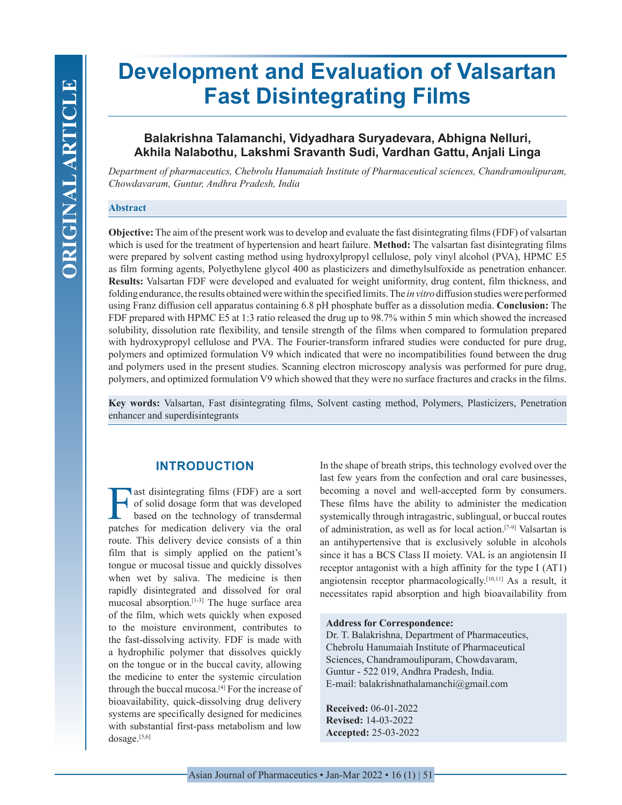# **Development and Evaluation of Valsartan Fast Disintegrating Films**

# **Balakrishna Talamanchi, Vidyadhara Suryadevara, Abhigna Nelluri, Akhila Nalabothu, Lakshmi Sravanth Sudi, Vardhan Gattu, Anjali Linga**

*Department of pharmaceutics, Chebrolu Hanumaiah Institute of Pharmaceutical sciences, Chandramoulipuram, Chowdavaram, Guntur, Andhra Pradesh, India*

## **Abstract**

**Objective:** The aim of the present work was to develop and evaluate the fast disintegrating films (FDF) of valsartan which is used for the treatment of hypertension and heart failure. **Method:** The valsartan fast disintegrating films were prepared by solvent casting method using hydroxylpropyl cellulose, poly vinyl alcohol (PVA), HPMC E5 as film forming agents, Polyethylene glycol 400 as plasticizers and dimethylsulfoxide as penetration enhancer. **Results:** Valsartan FDF were developed and evaluated for weight uniformity, drug content, film thickness, and folding endurance, the results obtained were within the specified limits. The *in vitro* diffusion studies were performed using Franz diffusion cell apparatus containing 6.8 pH phosphate buffer as a dissolution media. **Conclusion:** The FDF prepared with HPMC E5 at 1:3 ratio released the drug up to 98.7% within 5 min which showed the increased solubility, dissolution rate flexibility, and tensile strength of the films when compared to formulation prepared with hydroxypropyl cellulose and PVA. The Fourier-transform infrared studies were conducted for pure drug, polymers and optimized formulation V9 which indicated that were no incompatibilities found between the drug and polymers used in the present studies. Scanning electron microscopy analysis was performed for pure drug, polymers, and optimized formulation V9 which showed that they were no surface fractures and cracks in the films.

**Key words:** Valsartan, Fast disintegrating films, Solvent casting method, Polymers, Plasticizers, Penetration enhancer and superdisintegrants

# **INTRODUCTION**

**FA** ast disintegrating films (FDF) are a sort<br>of solid dosage form that was developed<br>based on the technology of transdermal<br>natches for medication delivery via the oral of solid dosage form that was developed based on the technology of transdermal patches for medication delivery via the oral route. This delivery device consists of a thin film that is simply applied on the patient's tongue or mucosal tissue and quickly dissolves when wet by saliva. The medicine is then rapidly disintegrated and dissolved for oral mucosal absorption.[1-3] The huge surface area of the film, which wets quickly when exposed to the moisture environment, contributes to the fast-dissolving activity. FDF is made with a hydrophilic polymer that dissolves quickly on the tongue or in the buccal cavity, allowing the medicine to enter the systemic circulation through the buccal mucosa.[4] For the increase of bioavailability, quick-dissolving drug delivery systems are specifically designed for medicines with substantial first-pass metabolism and low dosage.<sup>[5,6]</sup>

In the shape of breath strips, this technology evolved over the last few years from the confection and oral care businesses, becoming a novel and well-accepted form by consumers. These films have the ability to administer the medication systemically through intragastric, sublingual, or buccal routes of administration, as well as for local action.[7-9] Valsartan is an antihypertensive that is exclusively soluble in alcohols since it has a BCS Class II moiety. VAL is an angiotensin II receptor antagonist with a high affinity for the type I (AT1) angiotensin receptor pharmacologically.[10,11] As a result, it necessitates rapid absorption and high bioavailability from

#### **Address for Correspondence:**

Dr. T. Balakrishna, Department of Pharmaceutics, Chebrolu Hanumaiah Institute of Pharmaceutical Sciences, Chandramoulipuram, Chowdavaram, Guntur - 522 019, Andhra Pradesh, India. E-mail: balakrishnathalamanchi@gmail.com

**Received:** 06-01-2022 **Revised:** 14-03-2022 **Accepted:** 25-03-2022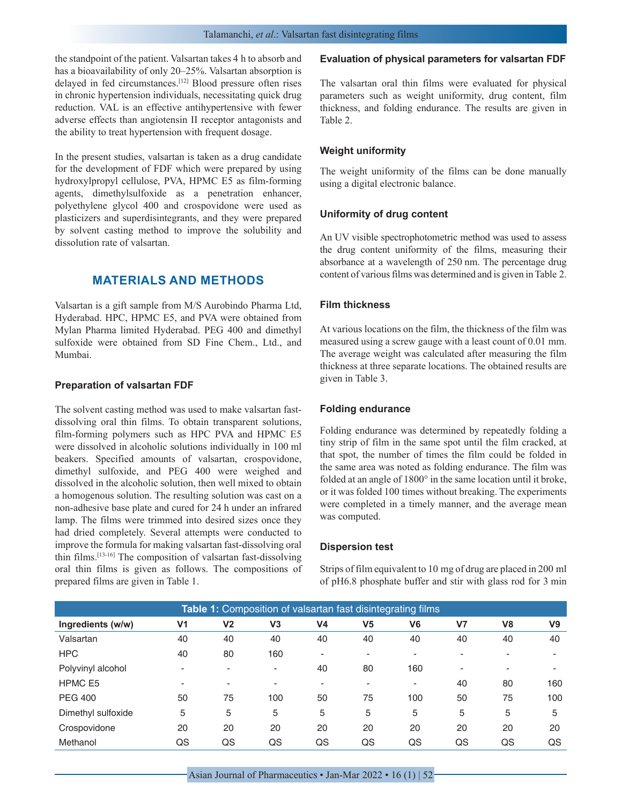the standpoint of the patient. Valsartan takes 4 h to absorb and has a bioavailability of only 20–25%. Valsartan absorption is delayed in fed circumstances.[12] Blood pressure often rises in chronic hypertension individuals, necessitating quick drug reduction. VAL is an effective antihypertensive with fewer adverse effects than angiotensin II receptor antagonists and the ability to treat hypertension with frequent dosage.

In the present studies, valsartan is taken as a drug candidate for the development of FDF which were prepared by using hydroxylpropyl cellulose, PVA, HPMC E5 as film-forming agents, dimethylsulfoxide as a penetration enhancer, polyethylene glycol 400 and crospovidone were used as plasticizers and superdisintegrants, and they were prepared by solvent casting method to improve the solubility and dissolution rate of valsartan.

# **MATERIALS AND METHODS**

Valsartan is a gift sample from M/S Aurobindo Pharma Ltd, Hyderabad. HPC, HPMC E5, and PVA were obtained from Mylan Pharma limited Hyderabad. PEG 400 and dimethyl sulfoxide were obtained from SD Fine Chem., Ltd., and Mumbai.

## **Preparation of valsartan FDF**

The solvent casting method was used to make valsartan fastdissolving oral thin films. To obtain transparent solutions, film-forming polymers such as HPC PVA and HPMC E5 were dissolved in alcoholic solutions individually in 100 ml beakers. Specified amounts of valsartan, crospovidone, dimethyl sulfoxide, and PEG 400 were weighed and dissolved in the alcoholic solution, then well mixed to obtain a homogenous solution. The resulting solution was cast on a non-adhesive base plate and cured for 24 h under an infrared lamp. The films were trimmed into desired sizes once they had dried completely. Several attempts were conducted to improve the formula for making valsartan fast-dissolving oral thin films.[13-16] The composition of valsartan fast-dissolving oral thin films is given as follows. The compositions of prepared films are given in Table 1.

#### **Evaluation of physical parameters for valsartan FDF**

The valsartan oral thin films were evaluated for physical parameters such as weight uniformity, drug content, film thickness, and folding endurance. The results are given in Table 2.

## **Weight uniformity**

The weight uniformity of the films can be done manually using a digital electronic balance.

#### **Uniformity of drug content**

An UV visible spectrophotometric method was used to assess the drug content uniformity of the films, measuring their absorbance at a wavelength of 250 nm. The percentage drug content of various films was determined and is given in Table 2.

## **Film thickness**

At various locations on the film, the thickness of the film was measured using a screw gauge with a least count of 0.01 mm. The average weight was calculated after measuring the film thickness at three separate locations. The obtained results are given in Table 3.

#### **Folding endurance**

Folding endurance was determined by repeatedly folding a tiny strip of film in the same spot until the film cracked, at that spot, the number of times the film could be folded in the same area was noted as folding endurance. The film was folded at an angle of 1800° in the same location until it broke, or it was folded 100 times without breaking. The experiments were completed in a timely manner, and the average mean was computed.

#### **Dispersion test**

Strips of film equivalent to 10 mg of drug are placed in 200 ml of pH6.8 phosphate buffer and stir with glass rod for 3 min

| <b>Table 1:</b> Composition of valsartan fast disintegrating films |                |                |                |    |                |                          |    |                |                |
|--------------------------------------------------------------------|----------------|----------------|----------------|----|----------------|--------------------------|----|----------------|----------------|
| Ingredients (w/w)                                                  | V <sub>1</sub> | V <sub>2</sub> | V <sub>3</sub> | V4 | V <sub>5</sub> | V <sub>6</sub>           | V7 | V <sub>8</sub> | V <sub>9</sub> |
| Valsartan                                                          | 40             | 40             | 40             | 40 | 40             | 40                       | 40 | 40             | 40             |
| <b>HPC</b>                                                         | 40             | 80             | 160            | -  |                | $\overline{a}$           | -  |                |                |
| Polyvinyl alcohol                                                  | -              |                | -              | 40 | 80             | 160                      | ۰  |                |                |
| HPMC E5                                                            | ٠              | -              |                | -  |                | $\overline{\phantom{0}}$ | 40 | 80             | 160            |
| <b>PEG 400</b>                                                     | 50             | 75             | 100            | 50 | 75             | 100                      | 50 | 75             | 100            |
| Dimethyl sulfoxide                                                 | 5              | 5              | 5              | 5  | 5              | 5                        | 5  | 5              | 5              |
| Crospovidone                                                       | 20             | 20             | 20             | 20 | 20             | 20                       | 20 | 20             | 20             |
| Methanol                                                           | QS             | QS             | QS             | QS | QS             | QS                       | QS | QS             | QS             |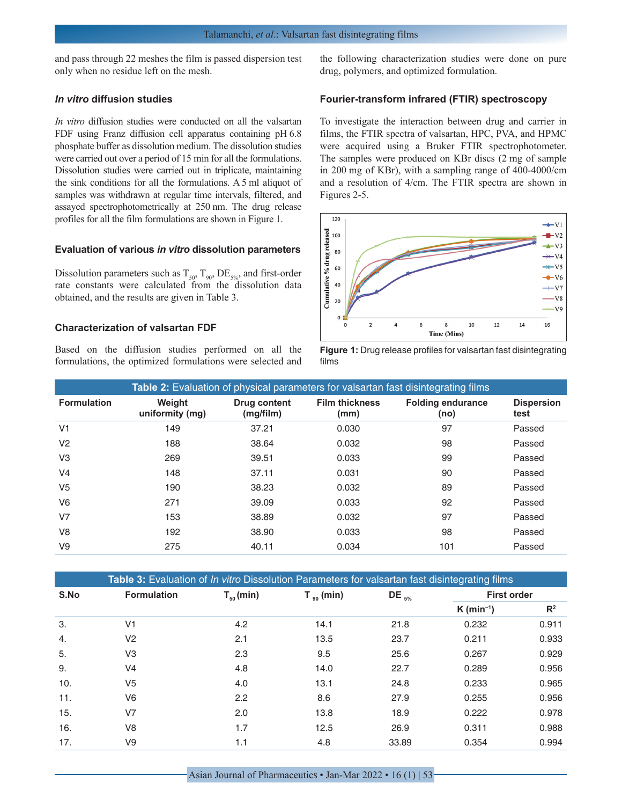and pass through 22 meshes the film is passed dispersion test only when no residue left on the mesh.

## *In vitro* **diffusion studies**

*In vitro* diffusion studies were conducted on all the valsartan FDF using Franz diffusion cell apparatus containing pH 6.8 phosphate buffer as dissolution medium. The dissolution studies were carried out over a period of 15 min for all the formulations. Dissolution studies were carried out in triplicate, maintaining the sink conditions for all the formulations. A 5 ml aliquot of samples was withdrawn at regular time intervals, filtered, and assayed spectrophotometrically at 250 nm. The drug release profiles for all the film formulations are shown in Figure 1.

#### **Evaluation of various** *in vitro* **dissolution parameters**

Dissolution parameters such as  $T_{50}$ ,  $T_{90}$ ,  $DE_{5\%}$ , and first-order rate constants were calculated from the dissolution data obtained, and the results are given in Table 3.

#### **Characterization of valsartan FDF**

Based on the diffusion studies performed on all the formulations, the optimized formulations were selected and the following characterization studies were done on pure drug, polymers, and optimized formulation.

## **Fourier-transform infrared (FTIR) spectroscopy**

To investigate the interaction between drug and carrier in films, the FTIR spectra of valsartan, HPC, PVA, and HPMC were acquired using a Bruker FTIR spectrophotometer. The samples were produced on KBr discs (2 mg of sample in 200 mg of KBr), with a sampling range of 400-4000/cm and a resolution of 4/cm. The FTIR spectra are shown in Figures 2-5.





|                    | <b>Table 2:</b> Evaluation of physical parameters for valsartan fast disintegrating films |                           |                               |                                  |                           |  |  |
|--------------------|-------------------------------------------------------------------------------------------|---------------------------|-------------------------------|----------------------------------|---------------------------|--|--|
| <b>Formulation</b> | Weight<br>uniformity (mg)                                                                 | Drug content<br>(mg/film) | <b>Film thickness</b><br>(mm) | <b>Folding endurance</b><br>(no) | <b>Dispersion</b><br>test |  |  |
| V <sub>1</sub>     | 149                                                                                       | 37.21                     | 0.030                         | 97                               | Passed                    |  |  |
| V <sub>2</sub>     | 188                                                                                       | 38.64                     | 0.032                         | 98                               | Passed                    |  |  |
| V <sub>3</sub>     | 269                                                                                       | 39.51                     | 0.033                         | 99                               | Passed                    |  |  |
| V <sub>4</sub>     | 148                                                                                       | 37.11                     | 0.031                         | 90                               | Passed                    |  |  |
| V <sub>5</sub>     | 190                                                                                       | 38.23                     | 0.032                         | 89                               | Passed                    |  |  |
| V <sub>6</sub>     | 271                                                                                       | 39.09                     | 0.033                         | 92                               | Passed                    |  |  |
| V <sub>7</sub>     | 153                                                                                       | 38.89                     | 0.032                         | 97                               | Passed                    |  |  |
| V <sub>8</sub>     | 192                                                                                       | 38.90                     | 0.033                         | 98                               | Passed                    |  |  |
| V9                 | 275                                                                                       | 40.11                     | 0.034                         | 101                              | Passed                    |  |  |

| Table 3: Evaluation of <i>In vitro</i> Dissolution Parameters for valsartan fast disintegrating films |                    |                |                 |             |                          |       |
|-------------------------------------------------------------------------------------------------------|--------------------|----------------|-----------------|-------------|--------------------------|-------|
| S.No                                                                                                  | <b>Formulation</b> | $T_{50}$ (min) | $T_{.90}$ (min) | DE $_{5\%}$ | <b>First order</b>       |       |
|                                                                                                       |                    |                |                 |             | $K$ (min <sup>-1</sup> ) | $R^2$ |
| 3.                                                                                                    | V <sub>1</sub>     | 4.2            | 14.1            | 21.8        | 0.232                    | 0.911 |
| 4.                                                                                                    | V <sub>2</sub>     | 2.1            | 13.5            | 23.7        | 0.211                    | 0.933 |
| 5.                                                                                                    | V3                 | 2.3            | 9.5             | 25.6        | 0.267                    | 0.929 |
| 9.                                                                                                    | V4                 | 4.8            | 14.0            | 22.7        | 0.289                    | 0.956 |
| 10.                                                                                                   | V5                 | 4.0            | 13.1            | 24.8        | 0.233                    | 0.965 |
| 11.                                                                                                   | V6                 | 2.2            | 8.6             | 27.9        | 0.255                    | 0.956 |
| 15.                                                                                                   | V7                 | 2.0            | 13.8            | 18.9        | 0.222                    | 0.978 |
| 16.                                                                                                   | V8                 | 1.7            | 12.5            | 26.9        | 0.311                    | 0.988 |
| 17.                                                                                                   | V9                 | 1.1            | 4.8             | 33.89       | 0.354                    | 0.994 |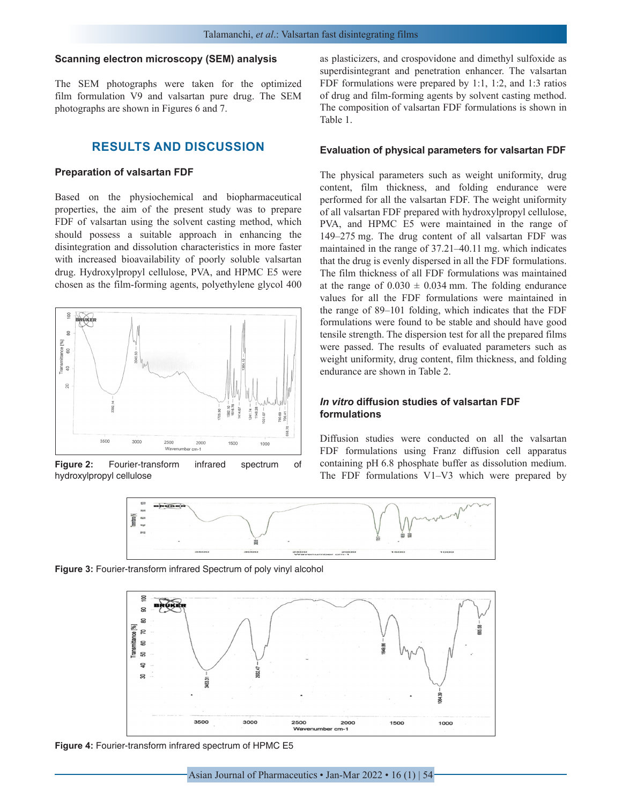#### **Scanning electron microscopy (SEM) analysis**

The SEM photographs were taken for the optimized film formulation V9 and valsartan pure drug. The SEM photographs are shown in Figures 6 and 7.

# **RESULTS AND DISCUSSION**

#### **Preparation of valsartan FDF**

Based on the physiochemical and biopharmaceutical properties, the aim of the present study was to prepare FDF of valsartan using the solvent casting method, which should possess a suitable approach in enhancing the disintegration and dissolution characteristics in more faster with increased bioavailability of poorly soluble valsartan drug. Hydroxylpropyl cellulose, PVA, and HPMC E5 were chosen as the film-forming agents, polyethylene glycol 400



**Figure 2:** Fourier-transform infrared spectrum of hydroxylpropyl cellulose

as plasticizers, and crospovidone and dimethyl sulfoxide as superdisintegrant and penetration enhancer. The valsartan FDF formulations were prepared by 1:1, 1:2, and 1:3 ratios of drug and film-forming agents by solvent casting method. The composition of valsartan FDF formulations is shown in Table 1.

#### **Evaluation of physical parameters for valsartan FDF**

The physical parameters such as weight uniformity, drug content, film thickness, and folding endurance were performed for all the valsartan FDF. The weight uniformity of all valsartan FDF prepared with hydroxylpropyl cellulose, PVA, and HPMC E5 were maintained in the range of 149–275 mg. The drug content of all valsartan FDF was maintained in the range of 37.21–40.11 mg. which indicates that the drug is evenly dispersed in all the FDF formulations. The film thickness of all FDF formulations was maintained at the range of  $0.030 \pm 0.034$  mm. The folding endurance values for all the FDF formulations were maintained in the range of 89–101 folding, which indicates that the FDF formulations were found to be stable and should have good tensile strength. The dispersion test for all the prepared films were passed. The results of evaluated parameters such as weight uniformity, drug content, film thickness, and folding endurance are shown in Table 2.

## *In vitro* **diffusion studies of valsartan FDF formulations**

Diffusion studies were conducted on all the valsartan FDF formulations using Franz diffusion cell apparatus containing pH 6.8 phosphate buffer as dissolution medium. The FDF formulations V1–V3 which were prepared by



**Figure 3:** Fourier-transform infrared Spectrum of poly vinyl alcohol



**Figure 4:** Fourier-transform infrared spectrum of HPMC E5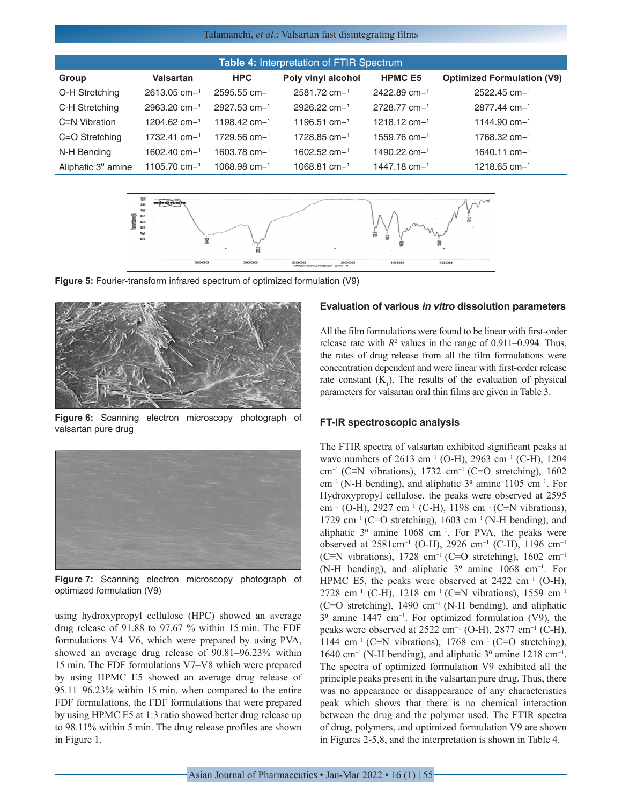#### Talamanchi, *et al*.: Valsartan fast disintegrating films

| Table 4: Interpretation of FTIR Spectrum |                   |                   |                    |                   |                                   |  |
|------------------------------------------|-------------------|-------------------|--------------------|-------------------|-----------------------------------|--|
| Group                                    | Valsartan         | <b>HPC</b>        | Poly vinyl alcohol | <b>HPMC E5</b>    | <b>Optimized Formulation (V9)</b> |  |
| O-H Stretching                           | $2613.05$ cm $-1$ | $2595.55$ cm $-1$ | $2581.72$ cm $-1$  | 2422.89 cm-1      | 2522.45 cm-1                      |  |
| C-H Stretching                           | $2963.20$ cm $-1$ | $2927.53$ cm $-1$ | $2926.22$ cm $-1$  | $2728.77$ cm $-1$ | $2877.44$ cm- $1$                 |  |
| $C \equiv N$ Vibration                   | $1204.62$ cm $-1$ | 1198.42 $cm-1$    | 1196.51 cm $-1$    | 1218.12 cm $-1$   | 1144.90 cm $-1$                   |  |
| $C = O$ Stretching                       | $1732.41$ cm $-1$ | $1729.56$ cm $-1$ | 1728.85 cm $-1$    | $1559.76$ cm $-1$ | $1768.32$ cm $-1$                 |  |
| N-H Bending                              | $1602.40$ cm $-1$ | $1603.78$ cm $-1$ | $1602.52$ cm $-1$  | $1490.22$ cm $-1$ | $1640.11$ cm $-1$                 |  |
| Aliphatic $3^0$ amine                    | 1105.70 cm $-1$   | 1068.98 $cm-1$    | $1068.81$ cm $-1$  | $1447.18$ cm $-1$ | 1218.65 cm $-1$                   |  |



**Figure 5:** Fourier-transform infrared spectrum of optimized formulation (V9)



**Figure 6:** Scanning electron microscopy photograph of valsartan pure drug



**Figure 7:** Scanning electron microscopy photograph of optimized formulation (V9)

using hydroxypropyl cellulose (HPC) showed an average drug release of 91.88 to 97.67 % within 15 min. The FDF formulations V4–V6, which were prepared by using PVA, showed an average drug release of 90.81–96.23% within 15 min. The FDF formulations V7–V8 which were prepared by using HPMC E5 showed an average drug release of 95.11–96.23% within 15 min. when compared to the entire FDF formulations, the FDF formulations that were prepared by using HPMC E5 at 1:3 ratio showed better drug release up to 98.11% within 5 min. The drug release profiles are shown in Figure 1.

## **Evaluation of various** *in vitro* **dissolution parameters**

All the film formulations were found to be linear with first-order release rate with  $R^2$  values in the range of 0.911–0.994. Thus, the rates of drug release from all the film formulations were concentration dependent and were linear with first-order release rate constant  $(K_1)$ . The results of the evaluation of physical parameters for valsartan oral thin films are given in Table 3.

#### **FT-IR spectroscopic analysis**

The FTIR spectra of valsartan exhibited significant peaks at wave numbers of 2613 cm<sup>-1</sup> (O-H), 2963 cm<sup>-1</sup> (C-H), 1204 cm<sup>-1</sup> (C≡N vibrations), 1732 cm<sup>-1</sup> (C=O stretching), 1602 cm<sup>-1</sup> (N-H bending), and aliphatic 3<sup>o</sup> amine 1105 cm<sup>-1</sup>. For Hydroxypropyl cellulose, the peaks were observed at 2595 cm<sup>-1</sup> (O-H), 2927 cm<sup>-1</sup> (C-H), 1198 cm<sup>-1</sup> (C≡N vibrations), 1729 cm−1 (C=O stretching), 1603 cm−1 (N-H bending), and aliphatic  $3^\circ$  amine 1068 cm<sup>-1</sup>. For PVA, the peaks were observed at 2581cm−1 (O-H), 2926 cm−1 (C-H), 1196 cm−1 (C≡N vibrations), 1728 cm−1 (C=O stretching), 1602 cm−1 (N-H bending), and aliphatic 3⁰ amine 1068 cm−1. For HPMC E5, the peaks were observed at 2422 cm<sup>-1</sup> (O-H), 2728 cm<sup>-1</sup> (C-H), 1218 cm<sup>-1</sup> (C≡N vibrations), 1559 cm<sup>-1</sup> (C=O stretching), 1490 cm−1 (N-H bending), and aliphatic 3<sup>o</sup> amine 1447 cm<sup>-1</sup>. For optimized formulation (V9), the peaks were observed at 2522 cm<sup>-1</sup> (O-H), 2877 cm<sup>-1</sup> (C-H), 1144 cm−1 (C≡N vibrations), 1768 cm−1 (C=O stretching), 1640 cm−1 (N-H bending), and aliphatic 3⁰ amine 1218 cm−1. The spectra of optimized formulation V9 exhibited all the principle peaks present in the valsartan pure drug. Thus, there was no appearance or disappearance of any characteristics peak which shows that there is no chemical interaction between the drug and the polymer used. The FTIR spectra of drug, polymers, and optimized formulation V9 are shown in Figures 2-5,8, and the interpretation is shown in Table 4.